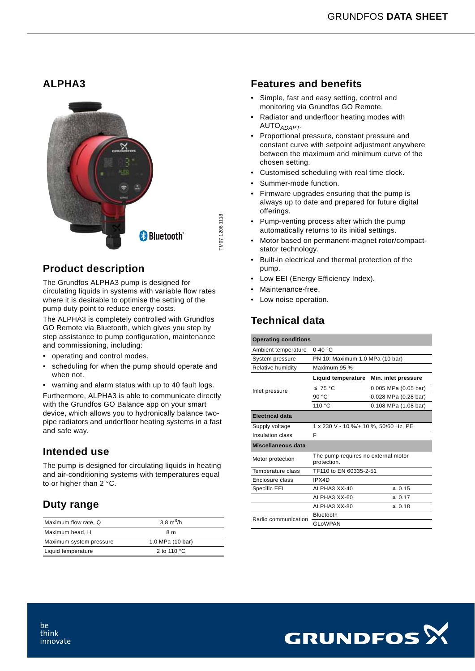### **ALPHA3**



## **Product description**

The Grundfos ALPHA3 pump is designed for circulating liquids in systems with variable flow rates where it is desirable to optimise the setting of the pump duty point to reduce energy costs.

The ALPHA3 is completely controlled with Grundfos GO Remote via Bluetooth, which gives you step by step assistance to pump configuration, maintenance and commissioning, including:

- operating and control modes.
- scheduling for when the pump should operate and when not.
- warning and alarm status with up to 40 fault logs.

Furthermore, ALPHA3 is able to communicate directly with the Grundfos GO Balance app on your smart device, which allows you to hydronically balance twopipe radiators and underfloor heating systems in a fast and safe way.

#### **Intended use**

The pump is designed for circulating liquids in heating and air-conditioning systems with temperatures equal to or higher than 2 °C.

# **Duty range**

| Maximum flow rate, Q    | 3.8 $m^3/h$           |
|-------------------------|-----------------------|
| Maximum head, H         | 8 m                   |
| Maximum system pressure | 1.0 MPa (10 bar)      |
| Liquid temperature      | 2 to 110 $^{\circ}$ C |

#### **Features and benefits**

- Simple, fast and easy setting, control and monitoring via Grundfos GO Remote.
- Radiator and underfloor heating modes with AUTO*ADAPT*.
- Proportional pressure, constant pressure and constant curve with setpoint adjustment anywhere between the maximum and minimum curve of the chosen setting.
- Customised scheduling with real time clock.
- Summer-mode function.
- Firmware upgrades ensuring that the pump is always up to date and prepared for future digital offerings.
- Pump-venting process after which the pump automatically returns to its initial settings.
- Motor based on permanent-magnet rotor/compactstator technology.
- Built-in electrical and thermal protection of the pump.
- Low EEI (Energy Efficiency Index).
- Maintenance-free.
- Low noise operation.

# **Technical data**

| <b>Operating conditions</b> |                                                    |                      |  |  |  |  |  |
|-----------------------------|----------------------------------------------------|----------------------|--|--|--|--|--|
| Ambient temperature         | $0-40$ °C                                          |                      |  |  |  |  |  |
| System pressure             | PN 10: Maximum 1.0 MPa (10 bar)                    |                      |  |  |  |  |  |
| Relative humidity           | Maximum 95 %                                       |                      |  |  |  |  |  |
|                             | Liquid temperature                                 | Min. inlet pressure  |  |  |  |  |  |
| Inlet pressure              | ≤ 75 °C                                            | 0.005 MPa (0.05 bar) |  |  |  |  |  |
|                             | 90 $°C$                                            | 0.028 MPa (0.28 bar) |  |  |  |  |  |
|                             | 110 °C                                             | 0.108 MPa (1.08 bar) |  |  |  |  |  |
| <b>Electrical data</b>      |                                                    |                      |  |  |  |  |  |
| Supply voltage              | 1 x 230 V - 10 %/+ 10 %, 50/60 Hz, PE              |                      |  |  |  |  |  |
| Insulation class            | F                                                  |                      |  |  |  |  |  |
| Miscellaneous data          |                                                    |                      |  |  |  |  |  |
| Motor protection            | The pump requires no external motor<br>protection. |                      |  |  |  |  |  |
| Temperature class           | TF110 to EN 60335-2-51                             |                      |  |  |  |  |  |
| Enclosure class             | IPX4D                                              |                      |  |  |  |  |  |
| Specific EEI                | ALPHA3 XX-40                                       | $\leq 0.15$          |  |  |  |  |  |
|                             | ALPHA3 XX-60                                       | $\leq 0.17$          |  |  |  |  |  |
|                             | ALPHA3 XX-80                                       | $\leq 0.18$          |  |  |  |  |  |
| Radio communication         | Bluetooth                                          |                      |  |  |  |  |  |
|                             | <b>GLoWPAN</b>                                     |                      |  |  |  |  |  |